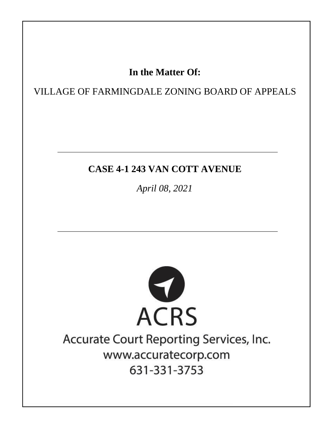# In the Matter Of:

VILLAGE OF FARMINGDALE ZONING BOARD OF APPEALS

# **CASE 4-1 243 VAN COTT AVENUE**

April 08, 2021



# Accurate Court Reporting Services, Inc. www.accuratecorp.com 631-331-3753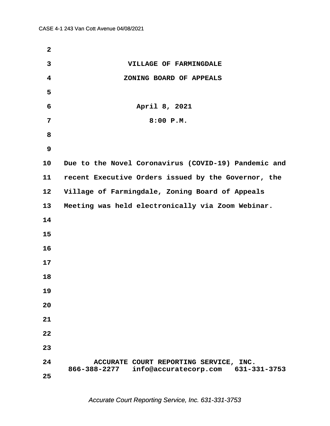| $\mathbf{2}$            |                                                                                           |  |
|-------------------------|-------------------------------------------------------------------------------------------|--|
| 3                       | VILLAGE OF FARMINGDALE                                                                    |  |
| $\overline{\mathbf{4}}$ | ZONING BOARD OF APPEALS                                                                   |  |
| 5                       |                                                                                           |  |
| 6                       | April 8, 2021                                                                             |  |
| 7                       | 8:00 P.M.                                                                                 |  |
| 8                       |                                                                                           |  |
| 9                       |                                                                                           |  |
| 10                      | Due to the Novel Coronavirus (COVID-19) Pandemic and                                      |  |
| 11                      | recent Executive Orders issued by the Governor, the                                       |  |
| 12                      | Village of Farmingdale, Zoning Board of Appeals                                           |  |
| 13                      | Meeting was held electronically via Zoom Webinar.                                         |  |
| 14                      |                                                                                           |  |
| 15                      |                                                                                           |  |
| 16                      |                                                                                           |  |
| 17                      |                                                                                           |  |
| 18                      |                                                                                           |  |
| 19                      |                                                                                           |  |
| 20                      |                                                                                           |  |
| 21                      |                                                                                           |  |
| 22                      |                                                                                           |  |
| 23                      |                                                                                           |  |
| 24                      | ACCURATE COURT REPORTING SERVICE, INC.<br>866-388-2277 info@accuratecorp.com 631-331-3753 |  |
| 25                      |                                                                                           |  |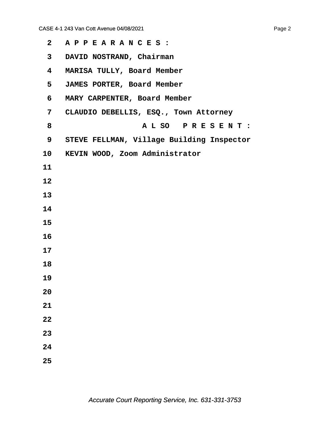| $\mathbf{2}$            | APPEARANCES:                              |
|-------------------------|-------------------------------------------|
| 3 <sup>7</sup>          | DAVID NOSTRAND, Chairman                  |
| $\overline{\mathbf{4}}$ | MARISA TULLY, Board Member                |
| 5                       | JAMES PORTER, Board Member                |
| 6                       | MARY CARPENTER, Board Member              |
| 7                       | CLAUDIO DEBELLIS, ESQ., Town Attorney     |
| 8                       | ALSO PRESENT:                             |
| 9                       | STEVE FELLMAN, Village Building Inspector |
| 10                      | KEVIN WOOD, Zoom Administrator            |
| 11                      |                                           |
| 12                      |                                           |
| 13                      |                                           |
| 14                      |                                           |
| 15                      |                                           |
| 16                      |                                           |
| 17                      |                                           |
| 18                      |                                           |
| 19                      |                                           |
| 20                      |                                           |
| 21                      |                                           |
| 22                      |                                           |
| 23                      |                                           |
| 24                      |                                           |
| 25                      |                                           |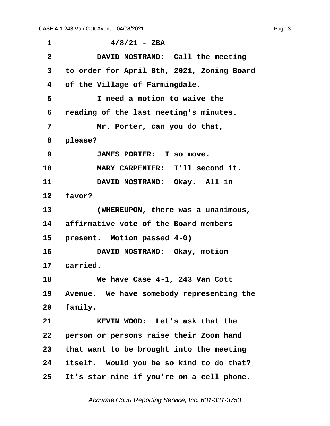<span id="page-3-0"></span> $1$   $4/8/21$  - ZBA **·2· · · · · DAVID NOSTRAND:· Call the meeting ·3· ·to order for April 8th, 2021, Zoning Board ·4· ·of the Village of Farmingdale. ·5· · · · · I need a motion to waive the ·6· ·reading of the last meeting's minutes. ·7· · · · · Mr. Porter, can you do that, ·8· ·please? ·9· · · · · JAMES PORTER:· I so move.** 10 **MARY CARPENTER:** I'll second it. 11 **DAVID NOSTRAND:** Okay. All in 12 **favor? 13· · · · · (WHEREUPON, there was a unanimous, 14· ·affirmative vote of the Board members** 15 **present.** Motion passed 4-0) 16 **· DAVID NOSTRAND:** Okay, motion 17 carried. **18· · · · · We have Case 4-1, 243 Van Cott** 19 Avenue. We have somebody representing the 20 family. 21 **KEVIN WOOD:** Let's ask that the **22· ·person or persons raise their Zoom hand 23· ·that want to be brought into the meeting 24· ·itself.· Would you be so kind to do that? 25· ·It's star nine if you're on a cell phone.**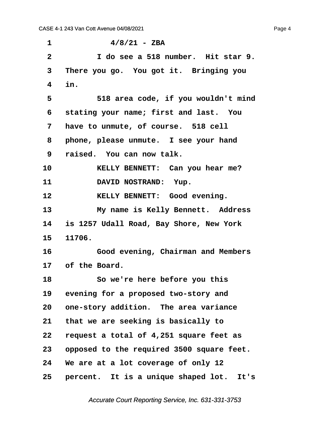<span id="page-4-0"></span> $1$   $4/8/21$  - ZBA **·2· · · · · I do see a 518 number.· Hit star 9.** 3 There you go. You got it. Bringing you **·4· ·in. ·5· · · · · 518 area code, if you wouldn't mind ·6· ·stating your name; first and last.· You** 7 have to unmute, of course. 518 cell **·8· ·phone, please unmute.· I see your hand ·9· ·raised.· You can now talk.** 10 **· · · · KELLY BENNETT:** Can you hear me? 11 DAVID NOSTRAND: Yup. **12· · · · · KELLY BENNETT:· Good evening.** 13 My name is Kelly Bennett. Address **14· ·is 1257 Udall Road, Bay Shore, New York 15· ·11706. 16· · · · · Good evening, Chairman and Members** 17 of the Board. **18· · · · · So we're here before you this** 19 evening for a proposed two-story and **20· ·one-story addition.· The area variance 21· ·that we are seeking is basically to 22· ·request a total of 4,251 square feet as 23· ·opposed to the required 3500 square feet. 24· ·We are at a lot coverage of only 12** 25 **percent.** It is a unique shaped lot. It's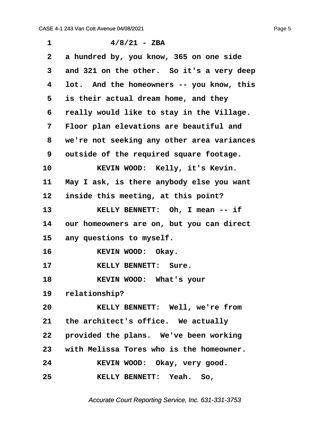<span id="page-5-0"></span>

| 1  | $4/8/21$ - ZBA                              |
|----|---------------------------------------------|
| 2  | a hundred by, you know, 365 on one side     |
| 3  | and 321 on the other. So it's a very deep   |
| 4  | lot. And the homeowners -- you know, this   |
| 5  | is their actual dream home, and they        |
| 6  | really would like to stay in the Village.   |
| 7  | Floor plan elevations are beautiful and     |
| 8  | we're not seeking any other area variances  |
| 9  | outside of the required square footage.     |
| 10 | KEVIN WOOD: Kelly, it's Kevin.              |
| 11 | May I ask, is there anybody else you want   |
| 12 | inside this meeting, at this point?         |
| 13 | KELLY BENNETT: Oh, I mean -- if             |
| 14 | our homeowners are on, but you can direct   |
| 15 | any questions to myself.                    |
| 16 | KEVIN WOOD: Okay.                           |
| 17 | KELLY BENNETT: Sure.                        |
| 18 | KEVIN WOOD: What's your                     |
|    | 19 relationship?                            |
| 20 | KELLY BENNETT: Well, we're from             |
|    | 21 the architect's office. We actually      |
| 22 | provided the plans. We've been working      |
|    | 23 with Melissa Tores who is the homeowner. |
| 24 | KEVIN WOOD: Okay, very good.                |
| 25 | KELLY BENNETT: Yeah. So,                    |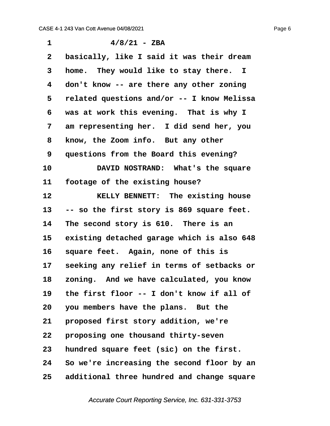<span id="page-6-0"></span> $1$   $4/8/21$  - ZBA **·2· ·basically, like I said it was their dream ·3· ·home.· They would like to stay there. I ·4· ·don't know -- are there any other zoning ·5· ·related questions and/or -- I know Melissa ·6· ·was at work this evening.· That is why I ·7· ·am representing her.· I did send her, you ·8· ·know, the Zoom info.· But any other ·9· ·questions from the Board this evening?** 10 **DAVID NOSTRAND:** What's the square 11 **footage of the existing house?** 12 **8ELLY BENNETT:** The existing house **13· ·-- so the first story is 869 square feet.** 14 The second story is 610. There is an 15 existing detached garage which is also 648 16 square feet. Again, none of this is 17 seeking any relief in terms of setbacks or **18· ·zoning.· And we have calculated, you know 19· ·the first floor -- I don't know if all of 20· ·you members have the plans.· But the** 21 **proposed first story addition, we're 22· ·proposing one thousand thirty-seven 23· ·hundred square feet (sic) on the first. 24· ·So we're increasing the second floor by an 25· ·additional three hundred and change square**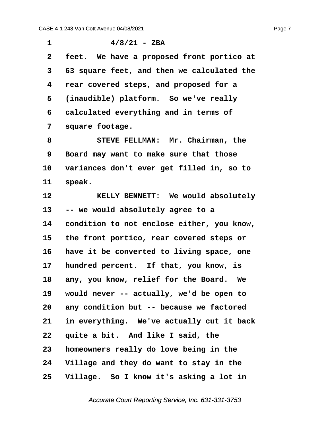<span id="page-7-0"></span> $1$   $4/8/21$  - ZBA

**·2· ·feet.· We have a proposed front portico at ·3· ·63 square feet, and then we calculated the ·4· ·rear covered steps, and proposed for a** 5 (inaudible) platform. So we've really **·6· ·calculated everything and in terms of ·7· ·square footage. ·8· · · · · STEVE FELLMAN:· Mr. Chairman, the ·9· ·Board may want to make sure that those** 10 variances don't ever get filled in, so to 11 **speak. 12· · · · · KELLY BENNETT:· We would absolutely 13· ·-- we would absolutely agree to a 14· ·condition to not enclose either, you know, 15· ·the front portico, rear covered steps or** 16 have it be converted to living space, one 17 hundred percent. If that, you know, is 18 any, you know, relief for the Board. We **19· ·would never -- actually, we'd be open to 20· ·any condition but -- because we factored 21· ·in everything.· We've actually cut it back** 22 quite a bit. And like I said, the **23· ·homeowners really do love being in the**

**24· ·Village and they do want to stay in the**

**25· ·Village.· So I know it's asking a lot in**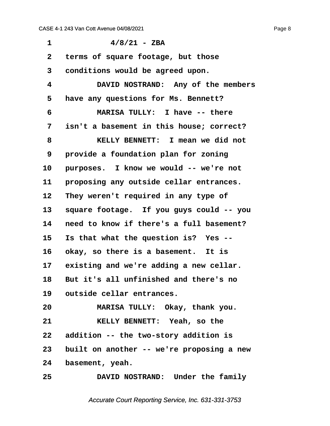<span id="page-8-0"></span>

| 1            | $4/8/21$ - ZBA                            |
|--------------|-------------------------------------------|
| $\mathbf{2}$ | terms of square footage, but those        |
| 3            | conditions would be agreed upon.          |
| 4            | DAVID NOSTRAND: Any of the members        |
| 5            | have any questions for Ms. Bennett?       |
| 6            | MARISA TULLY: I have -- there             |
| 7            | isn't a basement in this house; correct?  |
| 8            | KELLY BENNETT: I mean we did not          |
| 9            | provide a foundation plan for zoning      |
| 10           | purposes. I know we would -- we're not    |
| 11           | proposing any outside cellar entrances.   |
| 12           | They weren't required in any type of      |
| 13           | square footage. If you guys could -- you  |
| 14           | need to know if there's a full basement?  |
| 15           | Is that what the question is? Yes --      |
| 16           | okay, so there is a basement. It is       |
| 17           | existing and we're adding a new cellar.   |
| 18           | But it's all unfinished and there's no    |
| 19           | outside cellar entrances.                 |
| 20           | MARISA TULLY: Okay, thank you.            |
| 21           | KELLY BENNETT: Yeah, so the               |
| 22           | addition -- the two-story addition is     |
| 23           | built on another -- we're proposing a new |
| 24           | basement, yeah.                           |
| 25           | DAVID NOSTRAND: Under the family          |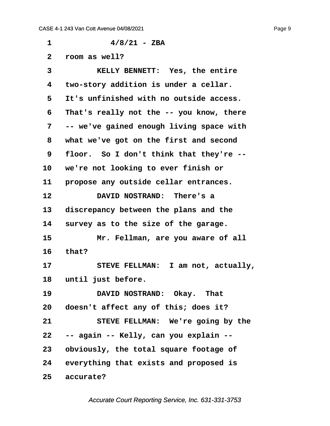<span id="page-9-0"></span> $1$   $4/8/21$  - ZBA **·2· ·room as well? ·3· · · · · KELLY BENNETT:· Yes, the entire ·4· ·two-story addition is under a cellar. ·5· ·It's unfinished with no outside access. ·6· ·That's really not the -- you know, there ·7· ·-- we've gained enough living space with ·8· ·what we've got on the first and second ·9· ·floor.· So I don't think that they're --** 10 we're not looking to ever finish or 11 **propose any outside cellar entrances. 12· · · · · DAVID NOSTRAND:· There's a** 13 discrepancy between the plans and the 14 survey as to the size of the garage. 15 Mr. Fellman, are you aware of all **16· ·that?** 17 STEVE FELLMAN: I am not, actually, 18 until just before. 19 **DAVID NOSTRAND:** Okay. That 20 doesn't affect any of this; does it? **21· · · · · STEVE FELLMAN:· We're going by the 22· ·-- again -- Kelly, can you explain -- 23· ·obviously, the total square footage of 24· ·everything that exists and proposed is** 25 accurate?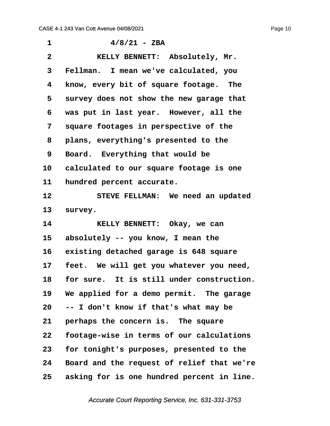<span id="page-10-0"></span>

| 1              | $4/8/21$ - ZBA                             |
|----------------|--------------------------------------------|
| $\overline{2}$ | KELLY BENNETT: Absolutely, Mr.             |
| 3              | Fellman. I mean we've calculated, you      |
| 4              | know, every bit of square footage. The     |
| 5              | survey does not show the new garage that   |
| 6              | was put in last year. However, all the     |
| 7              | square footages in perspective of the      |
| 8              | plans, everything's presented to the       |
| 9              | Board. Everything that would be            |
| 10             | calculated to our square footage is one    |
| 11             | hundred percent accurate.                  |
| 12             | STEVE FELLMAN: We need an updated          |
| 13             | survey.                                    |
| 14             | KELLY BENNETT: Okay, we can                |
| 15             | absolutely -- you know, I mean the         |
| 16             | existing detached garage is 648 square     |
| 17             | feet. We will get you whatever you need,   |
| 18             | for sure. It is still under construction.  |
| 19             | We applied for a demo permit. The garage   |
| $20\,$         | -- I don't know if that's what may be      |
| 21             | perhaps the concern is. The square         |
| 22             | footage-wise in terms of our calculations  |
| 23             | for tonight's purposes, presented to the   |
| 24             | Board and the request of relief that we're |
| 25             | asking for is one hundred percent in line. |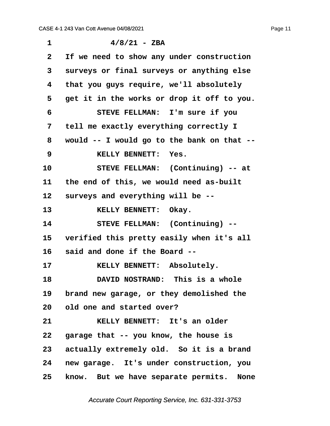<span id="page-11-0"></span> $1$   $4/8/21$  - ZBA **·2· ·If we need to show any under construction ·3· ·surveys or final surveys or anything else ·4· ·that you guys require, we'll absolutely ·5· ·get it in the works or drop it off to you. ·6· · · · · STEVE FELLMAN:· I'm sure if you ·7· ·tell me exactly everything correctly I ·8· ·would -- I would go to the bank on that -- ·9· · · · · KELLY BENNETT:· Yes.** 10 STEVE FELLMAN: (Continuing) -- at 11 the end of this, we would need as-built 12 **Surveys and everything will be --13· · · · · KELLY BENNETT:· Okay.** 14 STEVE FELLMAN: (Continuing) --15 verified this pretty easily when it's all **16· ·said and done if the Board --** 17 **KELLY BENNETT: Absolutely. 18· · · · · DAVID NOSTRAND:· This is a whole** 19 brand new garage, or they demolished the **20· ·old one and started over? 21· · · · · KELLY BENNETT:· It's an older** 22 garage that -- you know, the house is 23 actually extremely old. So it is a brand **24· ·new garage.· It's under construction, you** 25 know. But we have separate permits. None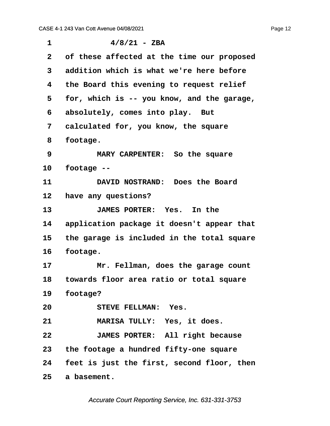<span id="page-12-0"></span>

| $\mathbf 1$  | $4/8/21$ - ZBA                             |  |
|--------------|--------------------------------------------|--|
| $\mathbf{2}$ | of these affected at the time our proposed |  |
| 3            | addition which is what we're here before   |  |
| 4            | the Board this evening to request relief   |  |
| 5            | for, which is -- you know, and the garage, |  |
| 6            | absolutely, comes into play. But           |  |
| 7            | calculated for, you know, the square       |  |
| 8            | footage.                                   |  |
| 9            | MARY CARPENTER: So the square              |  |
| 10           | footage --                                 |  |
| 11           | DAVID NOSTRAND: Does the Board             |  |
| 12           | have any questions?                        |  |
| 13           | JAMES PORTER: Yes. In the                  |  |
| 14           | application package it doesn't appear that |  |
| 15           | the garage is included in the total square |  |
| 16           | footage.                                   |  |
| 17           | Mr. Fellman, does the garage count         |  |
| 18           | towards floor area ratio or total square   |  |
| 19           | footage?                                   |  |
| 20           | STEVE FELLMAN: Yes.                        |  |
| 21           | MARISA TULLY: Yes, it does.                |  |
| 22           | JAMES PORTER: All right because            |  |
| 23           | the footage a hundred fifty-one square     |  |
| 24           | feet is just the first, second floor, then |  |
| 25           | a basement.                                |  |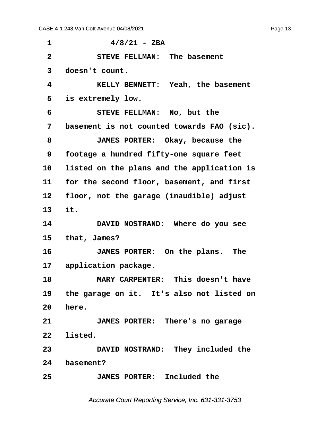<span id="page-13-0"></span>

| 1              | $4/8/21$ - ZBA                               |  |
|----------------|----------------------------------------------|--|
| $\overline{2}$ | STEVE FELLMAN: The basement                  |  |
| 3              | doesn't count.                               |  |
| 4              | KELLY BENNETT: Yeah, the basement            |  |
| 5              | is extremely low.                            |  |
| 6              | STEVE FELLMAN: No, but the                   |  |
| 7              | basement is not counted towards FAO (sic).   |  |
| 8              | JAMES PORTER: Okay, because the              |  |
| 9              | footage a hundred fifty-one square feet      |  |
| 10             | listed on the plans and the application is   |  |
| 11             | for the second floor, basement, and first    |  |
| 12             | floor, not the garage (inaudible) adjust     |  |
| 13             | it.                                          |  |
| 14             | DAVID NOSTRAND: Where do you see             |  |
| 15             | that, James?                                 |  |
| 16             | JAMES PORTER: On the plans. The              |  |
|                | 17 application package.                      |  |
| 18             | MARY CARPENTER: This doesn't have            |  |
|                | 19 the garage on it. It's also not listed on |  |
| 20             | here.                                        |  |
| 21             | JAMES PORTER: There's no garage              |  |
| 22             | listed.                                      |  |
| 23             | DAVID NOSTRAND: They included the            |  |
| 24             | basement?                                    |  |
| 25             | JAMES PORTER: Included the                   |  |
|                |                                              |  |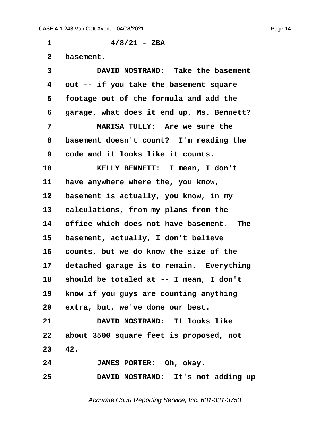<span id="page-14-0"></span> $1$   $4/8/21$  - ZBA 2 **basement**. **·3· · · · · DAVID NOSTRAND:· Take the basement ·4· ·out -- if you take the basement square ·5· ·footage out of the formula and add the ·6· ·garage, what does it end up, Ms. Bennett? ·7· · · · · MARISA TULLY:· Are we sure the ·8· ·basement doesn't count?· I'm reading the ·9· ·code and it looks like it counts.** 10 **· · · · KELLY BENNETT:** I mean, I don't 11 **have anywhere where the, you know,** 12 basement is actually, you know, in my 13 calculations, from my plans from the **14· ·office which does not have basement.· The** 15 basement, actually, I don't believe 16 counts, but we do know the size of the 17 detached garage is to remain. Everything **18· ·should be totaled at -- I mean, I don't** 19 **know if you guys are counting anything** 20 extra, but, we've done our best. **21· · · · · DAVID NOSTRAND:· It looks like 22· ·about 3500 square feet is proposed, not 23· ·42. 24· · · · · JAMES PORTER:· Oh, okay. 25· · · · · DAVID NOSTRAND:· It's not adding up**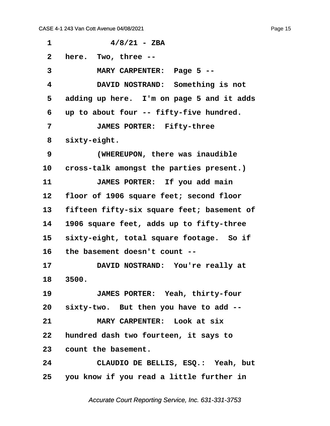<span id="page-15-0"></span> $1$   $4/8/21$  - ZBA **·2· ·here.· Two, three -- ·3· · · · · MARY CARPENTER:· Page 5 -- ·4· · · · · DAVID NOSTRAND:· Something is not ·5· ·adding up here.· I'm on page 5 and it adds ·6· ·up to about four -- fifty-five hundred. ·7· · · · · JAMES PORTER:· Fifty-three** 8 sixty-eight. **·9· · · · · (WHEREUPON, there was inaudible** 10 cross-talk amongst the parties present.) 11 **JAMES PORTER:** If you add main 12 floor of 1906 square feet; second floor 13 fifteen fifty-six square feet; basement of **14· ·1906 square feet, adds up to fifty-three** 15 sixty-eight, total square footage. So if **16· ·the basement doesn't count --** 17 **DAVID NOSTRAND:** You're really at **18· ·3500. 19· · · · · JAMES PORTER:· Yeah, thirty-four 20· ·sixty-two.· But then you have to add -- 21· · · · · MARY CARPENTER:· Look at six 22· ·hundred dash two fourteen, it says to** 23 count the basement. **24· · · · · CLAUDIO DE BELLIS, ESQ.:· Yeah, but 25· ·you know if you read a little further in**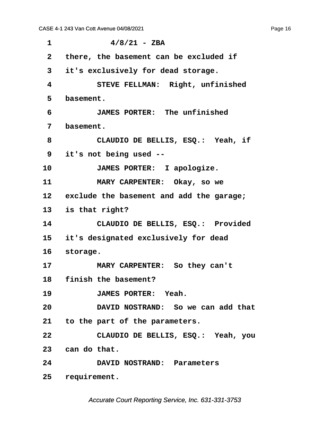<span id="page-16-0"></span> $1$   $4/8/21$  - ZBA **·2· ·there, the basement can be excluded if ·3· ·it's exclusively for dead storage. ·4· · · · · STEVE FELLMAN:· Right, unfinished ·5· ·basement. ·6· · · · · JAMES PORTER:· The unfinished ·7· ·basement. ·8· · · · · CLAUDIO DE BELLIS, ESQ.:· Yeah, if ·9· ·it's not being used --** 10 **JAMES PORTER:** I apologize. 11 **MARY CARPENTER:** Okay, so we 12 exclude the basement and add the garage; **13· ·is that right? 14· · · · · CLAUDIO DE BELLIS, ESQ.:· Provided 15· ·it's designated exclusively for dead** 16 storage. 17 **MARY CARPENTER:** So they can't 18 **finish the basement?** 19 · **JAMES PORTER:** Yeah. **20· · · · · DAVID NOSTRAND:· So we can add that 21· ·to the part of the parameters. 22· · · · · CLAUDIO DE BELLIS, ESQ.:· Yeah, you** 23 can do that. **24· · · · · DAVID NOSTRAND:· Parameters** 25 requirement.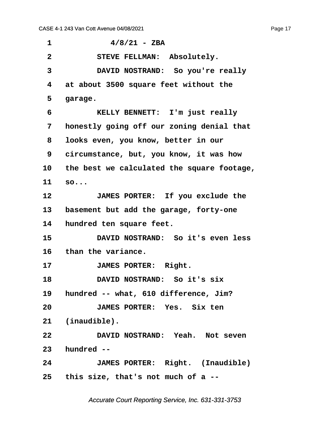<span id="page-17-0"></span> $1$   $4/8/21$  - ZBA **·2· · · · · STEVE FELLMAN:· Absolutely. ·3· · · · · DAVID NOSTRAND:· So you're really ·4· ·at about 3500 square feet without the** 5 garage. **·6· · · · · KELLY BENNETT:· I'm just really ·7· ·honestly going off our zoning denial that ·8· ·looks even, you know, better in our ·9· ·circumstance, but, you know, it was how 10· ·the best we calculated the square footage,** 11 so... **12· · · · · JAMES PORTER:· If you exclude the** 13 basement but add the garage, forty-one 14 **hundred ten square feet. 15· · · · · DAVID NOSTRAND:· So it's even less** 16 than the variance. 17 **JAMES PORTER: Right. 18· · · · · DAVID NOSTRAND:· So it's six 19· ·hundred -- what, 610 difference, Jim? 20· · · · · JAMES PORTER:· Yes.· Six ten** 21 (inaudible). **22· · · · · DAVID NOSTRAND:· Yeah.· Not seven 23· ·hundred -- 24· · · · · JAMES PORTER:· Right.· (Inaudible) 25· ·this size, that's not much of a --**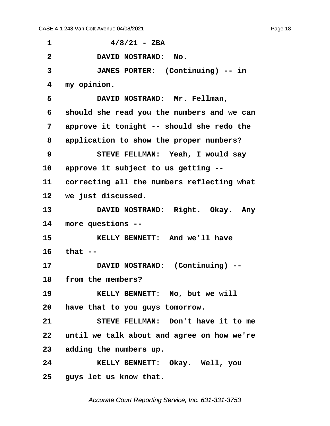<span id="page-18-0"></span> $1$   $4/8/21$  - ZBA **·2· · · · · DAVID NOSTRAND:· No. ·3· · · · · JAMES PORTER:· (Continuing) -- in ·4· ·my opinion.** 5 **· DAVID NOSTRAND: Mr. Fellman, ·6· ·should she read you the numbers and we can ·7· ·approve it tonight -- should she redo the ·8· ·application to show the proper numbers? ·9· · · · · STEVE FELLMAN:· Yeah, I would say 10· ·approve it subject to us getting --** 11 correcting all the numbers reflecting what 12 we just discussed. 13 **DAVID NOSTRAND:** Right. Okay. Any 14 more questions --**15· · · · · KELLY BENNETT:· And we'll have 16· ·that --** 17 **DAVID NOSTRAND:** (Continuing) --18 from the members? **19· · · · · KELLY BENNETT:· No, but we will 20· ·have that to you guys tomorrow. 21· · · · · STEVE FELLMAN:· Don't have it to me 22· ·until we talk about and agree on how we're 23· ·adding the numbers up. 24· · · · · KELLY BENNETT:· Okay.· Well, you** 25 guys let us know that.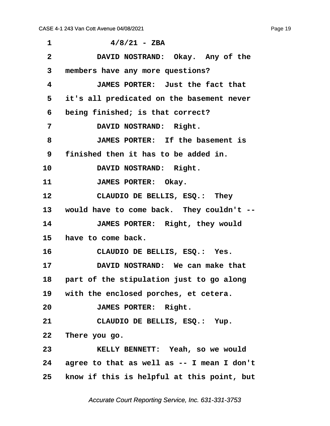<span id="page-19-0"></span>

| 1               | $4/8/21$ - ZBA                               |
|-----------------|----------------------------------------------|
| $\overline{2}$  | DAVID NOSTRAND: Okay. Any of the             |
| 3               | members have any more questions?             |
| 4               | JAMES PORTER: Just the fact that             |
| 5               | it's all predicated on the basement never    |
| 6               | being finished; is that correct?             |
| 7               | DAVID NOSTRAND: Right.                       |
| 8               | JAMES PORTER: If the basement is             |
| 9               | finished then it has to be added in.         |
| 10              | DAVID NOSTRAND: Right.                       |
| 11              | JAMES PORTER: Okay.                          |
| 12              | CLAUDIO DE BELLIS, ESQ.: They                |
|                 | 13 would have to come back. They couldn't -- |
| 14              | JAMES PORTER: Right, they would              |
| 15              | have to come back.                           |
| 16              | CLAUDIO DE BELLIS, ESQ.: Yes.                |
| 17              | DAVID NOSTRAND: We can make that             |
|                 | 18 part of the stipulation just to go along  |
|                 | 19 with the enclosed porches, et cetera.     |
| 20              | JAMES PORTER: Right.                         |
| 21              | CLAUDIO DE BELLIS, ESQ.: Yup.                |
| 22              | There you go.                                |
| 23              | KELLY BENNETT: Yeah, so we would             |
| 24              | agree to that as well as -- I mean I don't   |
| 25 <sub>2</sub> | know if this is helpful at this point, but   |

Page 19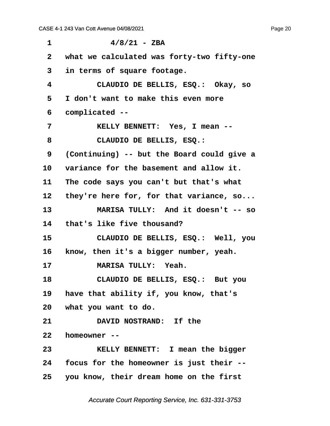<span id="page-20-0"></span>

| 1            | $4/8/21 - ZBA$                             |  |
|--------------|--------------------------------------------|--|
| $\mathbf{2}$ | what we calculated was forty-two fifty-one |  |
| 3            | in terms of square footage.                |  |
| 4            | CLAUDIO DE BELLIS, ESQ.: Okay, so          |  |
| 5            | I don't want to make this even more        |  |
| 6            | complicated --                             |  |
| 7            | KELLY BENNETT: Yes, I mean --              |  |
| 8            | CLAUDIO DE BELLIS, ESQ.:                   |  |
| 9            | (Continuing) -- but the Board could give a |  |
| 10           | variance for the basement and allow it.    |  |
| 11           | The code says you can't but that's what    |  |
| $12 \,$      | they're here for, for that variance, $so$  |  |
| 13           | MARISA TULLY: And it doesn't -- so         |  |
| 14           | that's like five thousand?                 |  |
| 15           | CLAUDIO DE BELLIS, ESQ.: Well, you         |  |
| 16           | know, then it's a bigger number, yeah.     |  |
| 17           | MARISA TULLY: Yeah.                        |  |
| 18           | CLAUDIO DE BELLIS, ESQ.: But you           |  |
|              | 19 have that ability if, you know, that's  |  |
| 20           | what you want to do.                       |  |
| 21           | DAVID NOSTRAND: If the                     |  |
| 22           | homeowner --                               |  |
| 23           | KELLY BENNETT: I mean the bigger           |  |
| 24           | focus for the homeowner is just their --   |  |
| 25           | you know, their dream home on the first    |  |

Page 20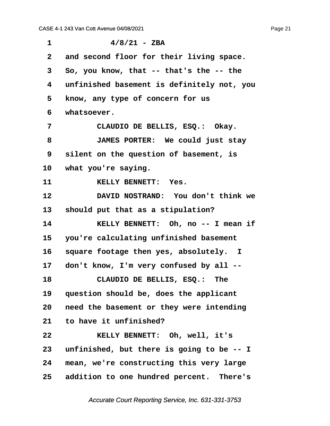<span id="page-21-0"></span>

| 1               | $4/8/21$ - ZBA                             |  |
|-----------------|--------------------------------------------|--|
| $\mathbf{2}$    | and second floor for their living space.   |  |
| 3               | So, you know, that -- that's the -- the    |  |
| 4               | unfinished basement is definitely not, you |  |
| 5               | know, any type of concern for us           |  |
| 6               | whatsoever.                                |  |
| 7               | CLAUDIO DE BELLIS, ESQ.: Okay.             |  |
| 8               | JAMES PORTER: We could just stay           |  |
| 9               | silent on the question of basement, is     |  |
| 10 <sup>°</sup> | what you're saying.                        |  |
| 11              | KELLY BENNETT: Yes.                        |  |
| 12              | DAVID NOSTRAND: You don't think we         |  |
| 13              | should put that as a stipulation?          |  |
| 14              | KELLY BENNETT: Oh, no -- I mean if         |  |
| 15              | you're calculating unfinished basement     |  |
| 16              | square footage then yes, absolutely. I     |  |
| 17              | don't know, I'm very confused by all --    |  |
| 18              | CLAUDIO DE BELLIS, ESQ.: The               |  |
| 19              | question should be, does the applicant     |  |
| 20              | need the basement or they were intending   |  |
| 21              | to have it unfinished?                     |  |
| 22              | KELLY BENNETT: Oh, well, it's              |  |
| 23              | unfinished, but there is going to be -- I  |  |
| 24              | mean, we're constructing this very large   |  |
| 25 <sub>2</sub> | addition to one hundred percent. There's   |  |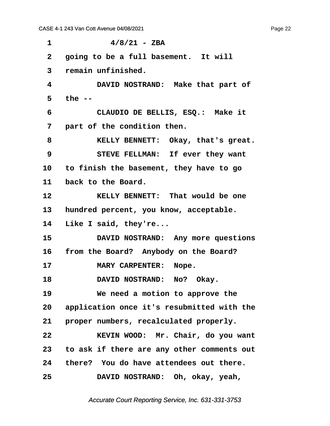<span id="page-22-0"></span> $1$   $4/8/21$  - ZBA 2 **going to be a full basement.** It will **·3· ·remain unfinished. ·4· · · · · DAVID NOSTRAND:· Make that part of ·5· ·the -- ·6· · · · · CLAUDIO DE BELLIS, ESQ.:· Make it ·7· ·part of the condition then. ·8· · · · · KELLY BENNETT:· Okay, that's great. ·9· · · · · STEVE FELLMAN:· If ever they want 10· ·to finish the basement, they have to go** 11 back to the Board. 12 **8ELLY BENNETT:** That would be one 13 hundred percent, you know, acceptable. 14 Like I said, they're... 15 **· DAVID NOSTRAND:** Any more questions 16 from the Board? Anybody on the Board? **17· · · · · MARY CARPENTER:· Nope.** 18 **DAVID NOSTRAND:** No? Okay. **19· · · · · We need a motion to approve the 20· ·application once it's resubmitted with the** 21 **proper numbers, recalculated properly. 22· · · · · KEVIN WOOD:· Mr. Chair, do you want 23· ·to ask if there are any other comments out 24· ·there?· You do have attendees out there. 25· · · · · DAVID NOSTRAND:· Oh, okay, yeah,**

Accurate Court Reporting Service, Inc. 631-331-3753

Page 22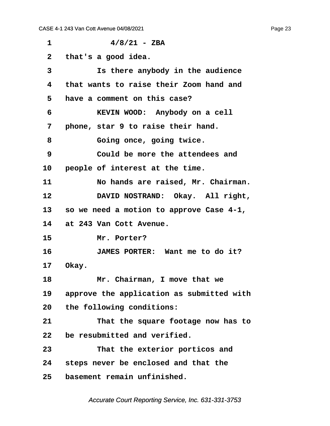<span id="page-23-0"></span> $1$   $4/8/21$  - ZBA **·2· ·that's a good idea. ·3· · · · · Is there anybody in the audience ·4· ·that wants to raise their Zoom hand and ·5· ·have a comment on this case? ·6· · · · · KEVIN WOOD:· Anybody on a cell ·7· ·phone, star 9 to raise their hand. ·8· · · · · Going once, going twice. ·9· · · · · Could be more the attendees and** 10 **people of interest at the time. 11· · · · · No hands are raised, Mr. Chairman.** 12 **DAVID NOSTRAND:** Okay. All right, **13· ·so we need a motion to approve Case 4-1, 14· ·at 243 Van Cott Avenue.** 15 Mr. Porter? **16· · · · · JAMES PORTER:· Want me to do it?** 17 Okay. 18 **18** *Mr.* **Chairman, I move that we 19· ·approve the application as submitted with 20· ·the following conditions: 21· · · · · That the square footage now has to 22· ·be resubmitted and verified. 23· · · · · That the exterior porticos and 24· ·steps never be enclosed and that the 25· ·basement remain unfinished.**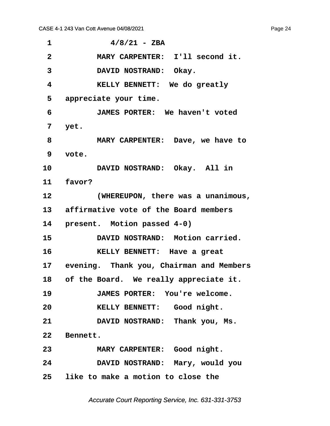<span id="page-24-0"></span> $4/8/21 - ZBA$ **·2· · · · · MARY CARPENTER:· I'll second it.** 3 **· DAVID NOSTRAND: Okay. ·4· · · · · KELLY BENNETT:· We do greatly ·5· ·appreciate your time. ·6· · · · · JAMES PORTER:· We haven't voted ·7· ·yet. ·8· · · · · MARY CARPENTER:· Dave, we have to ·9· ·vote.** 10 **DAVID NOSTRAND:** Okay. All in 11 **favor? 12· · · · · (WHEREUPON, there was a unanimous,** 13 affirmative vote of the Board members 14 **present.** Motion passed 4-0) 15 **· DAVID NOSTRAND:** Motion carried. **16· · · · · KELLY BENNETT:· Have a great** 17 evening. Thank you, Chairman and Members 18 of the Board. We really appreciate it. **19· · · · · JAMES PORTER:· You're welcome.** 20 **· · · · · KELLY BENNETT:** Good night. **21· · · · · DAVID NOSTRAND:· Thank you, Ms.** 22 Bennett. **23· · · · · MARY CARPENTER:· Good night. 24· · · · · DAVID NOSTRAND:· Mary, would you 25· ·like to make a motion to close the**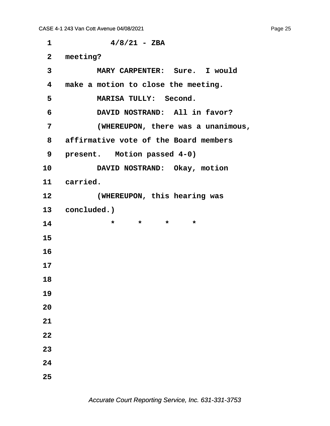**·1· · · · · · ·4/8/21 - ZBA ·2· ·meeting? ·3· · · · · MARY CARPENTER:· Sure.· I would ·4· ·make a motion to close the meeting. ·5· · · · · MARISA TULLY:· Second. ·6· · · · · DAVID NOSTRAND:· All in favor? ·7· · · · · (WHEREUPON, there was a unanimous, ·8· ·affirmative vote of the Board members** 9 **present.** Motion passed 4-0) 10 **DAVID NOSTRAND:** Okay, motion 11 carried. **12· · · · · (WHEREUPON, this hearing was** 13 **concluded.**) **14** • **\*** \* \* \* **15 16 17 18 19 20 21 22 23 24 25**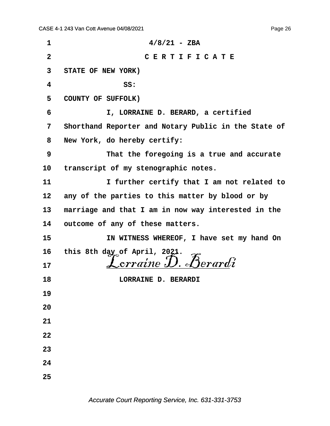| 1            | $4/8/21$ - ZBA                                                                              |
|--------------|---------------------------------------------------------------------------------------------|
| $\mathbf{2}$ | CERTIFICATE                                                                                 |
| 3            | STATE OF NEW YORK)                                                                          |
| 4            | SS:                                                                                         |
| 5            | COUNTY OF SUFFOLK)                                                                          |
| 6            | I, LORRAINE D. BERARD, a certified                                                          |
| 7            | Shorthand Reporter and Notary Public in the State of                                        |
| 8            | New York, do hereby certify:                                                                |
| 9            | That the foregoing is a true and accurate                                                   |
| 10           | transcript of my stenographic notes.                                                        |
| 11           | I further certify that I am not related to                                                  |
| 12           | any of the parties to this matter by blood or by                                            |
| 13           | marriage and that I am in now way interested in the                                         |
| 14           | outcome of any of these matters.                                                            |
| 15           | IN WITNESS WHEREOF, I have set my hand On                                                   |
| 16           | this 8th day of April, 2021.<br>$L = \mathcal{L}$ $\mathcal{L}$ $\mathcal{L}$ $\mathcal{L}$ |
| 17           |                                                                                             |
| 18           | LORRAINE D. BERARDI                                                                         |
| 19           |                                                                                             |
| 20           |                                                                                             |
| 21           |                                                                                             |
| 22           |                                                                                             |
| 23           |                                                                                             |
| 24           |                                                                                             |
| 25           |                                                                                             |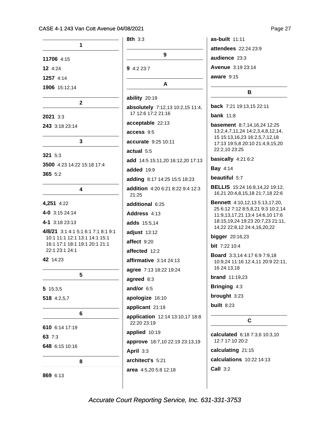|                                                                | $8th$ 3:3                                              |
|----------------------------------------------------------------|--------------------------------------------------------|
| 1                                                              |                                                        |
| 11706 4:15                                                     | 9                                                      |
| $12 \t4:24$                                                    | <b>9</b> 4:2 23:7                                      |
| 1257 4:14                                                      |                                                        |
| 1906 15:12,14                                                  | A                                                      |
| 2                                                              | ability 20:19                                          |
| 2021 3:3                                                       | absolutely 7:12,13 10:2,15 11:4,<br>17 12:6 17:2 21:16 |
| 243 3:18 23:14                                                 | acceptable 22:13                                       |
|                                                                | access 9:5                                             |
| 3                                                              | accurate 9:25 10:11                                    |
| 321 5:3                                                        | actual 5:5                                             |
| 3500 4:23 14:22 15:18 17:4                                     | add 14:5 15:11,20 16:12,20 17:13                       |
| 365 5:2                                                        | added 19:9                                             |
|                                                                | adding 8:17 14:25 15:5 18:23                           |
| 4                                                              | <b>addition</b> 4:20 6:21 8:22 9:4 12:3<br>21:25       |
| 4,251 4:22                                                     | additional 6:25                                        |
| 4-0 3:15 24:14                                                 | Address 4:13                                           |
| 4-1 3:18 23:13                                                 | adds 15:5,14                                           |
| 4/8/21 3:1 4:1 5:1 6:1 7:1 8:1 9:1                             | adjust 13:12                                           |
| 10:1 11:1 12:1 13:1 14:1 15:1<br>16:1 17:1 18:1 19:1 20:1 21:1 | affect 9:20                                            |
| 22:1 23:1 24:1                                                 | affected 12:2                                          |
| 42 14:23                                                       | affirmative $3:1424:13$                                |
|                                                                | agree 7:13 18:22 19:24                                 |
| 5                                                              | agreed 8:3                                             |
| 5 15:3,5                                                       | and/or 6:5                                             |
| 518 4:2,5,7                                                    | apologize 16:10                                        |
|                                                                | applicant 21:19                                        |
| 6                                                              | application 12:14 13:10,17 18:8<br>22:20 23:19         |
| 610 6:14 17:19                                                 | applied 10:19                                          |
| 63 7:3                                                         | approve 18:7,10 22:19 23:13,19                         |
| 648 6:15 10:16                                                 | April 3:3                                              |
| 8                                                              | architect's 5:21                                       |
|                                                                | area 4:5,20 5:8 12:18                                  |
| 869 6:13                                                       |                                                        |

as-built  $11:11$ attendees 22:24 23:9 audience 23:3 Avenue 3:19 23:14 aware  $9:15$ 

#### B

back 7:21 19:13,15 22:11

**bank** 11:8

basement 8:7,14,16,24 12:25 13:2,4,7,11,24 14:2,3,4,8,12,14, 15 15:13,16,23 16:2,5,7,12,18 17:13 19:5,8 20:10 21:4,9,15,20 22:2,10 23:25

basically 4:21 6:2

**Bay 4:14** 

beautiful 5:7

BELLIS 15:24 16:8,14,22 19:12, 16,21 20:4,8,15,18 21:7,18 22:6

**Bennett** 4:10,12,13 5:13,17,20, 25 6:12 7:12 8:5,8,21 9:3 10:2,14 11:9,13,17,21 13:4 14:6,10 17:6 18:15,19,24 19:23 20:7,23 21:11, 14,22 22:8,12 24:4,16,20,22

**bigger** 20:16,23

bit 7:22 10:4

**Board** 3:3,14 4:17 6:9 7:9,18 10:9,24 11:16 12:4,11 20:9 22:11, 16 24:13,18

**brand** 11:19,23

Bringing 4:3

brought 3:23

built  $8:23$ 

#### $\mathbf{C}$

calculated 6:18 7:3,6 10:3,10 12:7 17:10 20:2

calculating 21:15 calculations 10:22 14:13 **Call 3:2** 

Page 27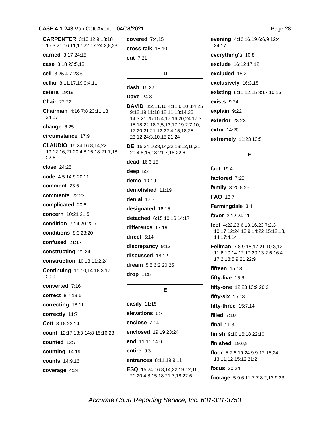**CARPENTER** 3:10 12:9 13:18 15:3,21 16:11,17 22:17 24:2,8,23 carried 3:17 24:15 case 3:18 23:5,13 cell 3:25 4:7 23:6 cellar 8:11,17,19 9:4,11 cetera  $19:19$ Chair 22:22 **Chairman** 4:16 7:8 23:11.18  $24:17$ change 6:25 circumstance 17:9 CLAUDIO 15:24 16:8,14,22 19:12,16,21 20:4,8,15,18 21:7,18  $22:6$ close 24:25 code 4:5 14:9 20:11 comment 23:5 comments 22:23 complicated 20:6 concern 10:21 21:5 condition 7:14 20 22:7 **conditions** 8:3 23:20 confused 21:17 constructing 21:24 construction 10:18 11:2,24 **Continuing 11:10,14 18:3,17**  $20:9$ converted 7:16 correct 8:7 19:6 correcting 18:11 correctly 11:7 Cott 3:18 23:14 count 12:17 13:3 14:8 15:16,23 counted 13:7 counting 14:19 **counts** 14:9,16 coverage 4:24

covered 7:4.15  $\text{cross-talk } 15:10$ cut 7:21 D dash  $15:22$ **Dave** 24:8 **DAVID** 3:2,11,16 4:11 6:10 8:4,25 9:12,19 11:18 12:11 13:14,23 14:3,21,25 15:4,17 16:20,24 17:3, 15, 18, 22 18: 2, 5, 13, 17 19: 2, 7, 10, 17 20:21 21:12 22:4,15,18,25 23:12 24:3,10,15,21,24 DE 15:24 16:8.14.22 19:12.16.21 20:4,8,15,18 21:7,18 22:6 dead 16:3,15 deep  $5:3$ demo 10:19 demolished 11:19 denial 17:7 designated 16:15 detached 6:15 10:16 14:17 difference 17:19 direct  $5:14$ discrepancy 9:13 discussed 18:12 dream 5:5 6:2 20:25 drop 11:5 E easily 11:15 elevations 5:7 enclose 7:14 enclosed 19:19 23:24 end 11:11 14:6 entire 9:3 entrances 8:11,19 9:11 ESQ 15:24 16:8,14,22 19:12,16, 21 20:4,8,15,18 21:7,18 22:6

evening 4:12,16,19 6:6,9 12:4 24:17 everything's 10:8 exclude 16:12 17:12 excluded 16:2 exclusively 16:3,15 existing 6:11,12,15 8:17 10:16 exists  $9:24$ explain 9:22 exterior 23:23 extra 14:20 extremely 11:23 13:5

F

fact 19:4 factored 7:20 family 3:20 8:25 FAO 13:7 Farmingdale 3:4 favor 3:12 24:11

feet 4:22,23 6:13,16,23 7:2,3 10:17 12:24 13:9 14:22 15:12,13, 14 17:4,14

Fellman 7:8 9:15,17,21 10:3,12 11:6.10.14 12:17.20 13:2.6 16:4 17:2 18:5,9,21 22:9

fifteen  $15:13$ 

fifty-five 15:6

fifty-one 12:23 13:9 20:2

fifty-six  $15:13$ 

fifty-three 15:7,14

filled  $7:10$ 

final  $11:3$ 

finish 9:10 16:18 22:10

finished  $19:6,9$ 

floor 5:7 6:19,24 9:9 12:18,24 13:11.12 15:12 21:2

focus 20:24

footage 5:9 6:11 7:7 8:2,13 9:23

Page 28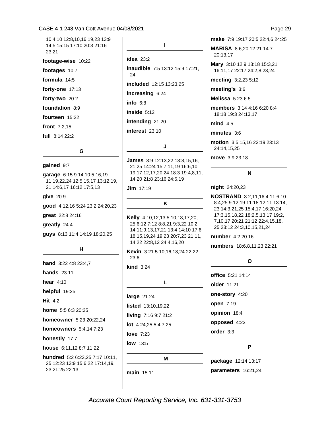10:4.10 12:8.10.16.19.23 13:9 14:5 15:15 17:10 20:3 21:16  $23.21$ 

footage-wise 10:22

footages 10:7

formula  $14:5$ 

forty-one  $17:13$ 

forty-two 20:2

foundation 8:9

fourteen 15:22

front 7:2,15

full 8:14 22:2

#### G

#### gained 9:7

garage 6:15 9:14 10:5,16,19 11:19,22,24 12:5,15,17 13:12,19, 21 14:6,17 16:12 17:5,13

 $give 20:9$ 

good 4:12,16 5:24 23:2 24:20,23

great 22:8 24:16

greatly 24:4

guys 8:13 11:4 14:19 18:20,25

#### н

hand 3:22 4:8 23:4,7 **hands** 23:11 hear  $4:10$ helpful 19:25 Hit  $4:2$ home 5:5 6:3 20:25 homeowner 5:23 20:22,24 homeowners 5:4,147:23 honestly 17:7 house 6:11,12 8:7 11:22 hundred 5:2 6:23,25 7:17 10:11,

25 12:23 13:9 15:6,22 17:14,19, 23 21:25 22:13

 $\mathbf{L}$ 

idea  $23:2$ 

inaudible 7:5 13:12 15:9 17:21, 24 **included** 12:15 13:23.25

increasing 6:24

info $6:8$ 

inside  $5:12$ 

intending 21:20

interest 23:10

#### J

James 3:9 12:13,22 13:8,15,16, 21,25 14:24 15:7,11,19 16:6,10, 19 17:12,17,20,24 18:3 19:4,8,11, 14,20 21:8 23:16 24:6,19

 $Jim$  17:19

K

Kelly 4:10,12,13 5:10,13,17,20, 25 6:12 7:12 8:8,21 9:3,22 10:2, 14 11:9,13,17,21 13:4 14:10 17:6 18:15,19,24 19:23 20:7,23 21:11, 14,22 22:8,12 24:4,16,20

Kevin 3:21 5:10,16,18,24 22:22  $23:6$ 

 $\text{kind } 3:24$ 

|                             | L |
|-----------------------------|---|
| large $21:24$               |   |
| <b>listed</b> $13:10,19,22$ |   |
| living 7:16 9:7 21:2        |   |
| <b>lot</b> $4:24.255:47:25$ |   |
| love $7:23$                 |   |

**low** 13:5

M

main 15:11

make 7:9 19:17 20:5 22:4,6 24:25

MARISA 8:6,20 12:21 14:7 20:13,17

Mary 3:10 12:9 13:18 15:3,21 16:11,17 22:17 24:2,8,23,24

meeting 3:2,23 5:12

meeting's 3:6

Melissa 5:23 6:5

members 3:14 4:16 6:20 8:4 18:18 19:3 24:13,17

 $mind 4:5$ 

 $minutes 3:6$ 

motion 3:5,15,16 22:19 23:13 24:14,15,25

move 3:9 23:18

#### N

#### night 24:20,23

**NOSTRAND** 3:2,11,16 4:11 6:10 8:4,25 9:12,19 11:18 12:11 13:14, 23 14:3,21,25 15:4,17 16:20,24 17:3,15,18,22 18:2,5,13,17 19:2, 7,10,17 20:21 21:12 22:4,15,18, 25 23:12 24:3,10,15,21,24

number 4:2 20:16

numbers 18:6,8,11,23 22:21

#### $\mathbf{o}$

office 5:21 14:14 older 11:21 one-story 4:20 open 7:19 opinion 18:4 opposed 4:23 order 3:3

P

package 12:14 13:17 parameters 16:21,24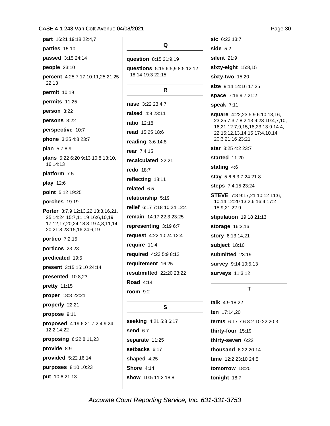| part 16:21 19:18 22:4,7                                                                                                              |  |  |
|--------------------------------------------------------------------------------------------------------------------------------------|--|--|
| parties 15:10                                                                                                                        |  |  |
| passed 3:15 24:14                                                                                                                    |  |  |
| people 23:10                                                                                                                         |  |  |
| percent 4:25 7:17 10:11,25 21:25<br>22:13                                                                                            |  |  |
| <b>permit</b> 10:19                                                                                                                  |  |  |
| permits 11:25                                                                                                                        |  |  |
| person 3:22                                                                                                                          |  |  |
| persons 3:22                                                                                                                         |  |  |
| perspective 10:7                                                                                                                     |  |  |
| <b>phone</b> 3:25 4:8 23:7                                                                                                           |  |  |
| <b>plan</b> $5:78:9$                                                                                                                 |  |  |
| plans 5:22 6:20 9:13 10:8 13:10,<br>16 14:13                                                                                         |  |  |
| platform 7:5                                                                                                                         |  |  |
| play 12:6                                                                                                                            |  |  |
| point 5:12 19:25                                                                                                                     |  |  |
| porches 19:19                                                                                                                        |  |  |
| Porter 3:7,9 12:13,22 13:8,16,21,<br>25 14:24 15:7,11,19 16:6,10,19<br>17:12,17,20,24 18:3 19:4,8,11,14,<br>20 21:8 23:15,16 24:6,19 |  |  |
| portico $7:2,15$                                                                                                                     |  |  |
| porticos 23:23                                                                                                                       |  |  |
| predicated 19:5                                                                                                                      |  |  |
| present 3:15 15:10 24:14                                                                                                             |  |  |
| presented 10:8,23                                                                                                                    |  |  |
| pretty 11:15                                                                                                                         |  |  |
| <b>proper</b> 18:8 22:21                                                                                                             |  |  |
| properly 22:21                                                                                                                       |  |  |
| propose 9:11                                                                                                                         |  |  |
| proposed 4:19 6:21 7:2,4 9:24<br>12:2 14:22                                                                                          |  |  |
| proposing 6:22 8:11,23                                                                                                               |  |  |
| provide 8:9                                                                                                                          |  |  |
| provided 5:22 16:14                                                                                                                  |  |  |
| purposes 8:10 10:23                                                                                                                  |  |  |
| put 10:6 21:13                                                                                                                       |  |  |

## Q question 8:15 21:9,19 questions 5:15 6:5,9 8:5 12:12 18:14 19:3 22:15  $\mathsf{R}$ raise 3:22 23:4,7 raised 4:9 23:11 **ratio** 12:18 read 15:25 18:6 reading 3:6 14:8 rear 7:4,15 recalculated 22:21 **redo** 18:7 reflecting 18:11 related 6:5 relationship 5:19 relief 6:17 7:18 10:24 12:4 remain 14:17 22:3 23:25 representing 3:19 6:7 request 4:22 10:24 12:4 require 11:4 required 4:23 5:9 8:12 requirement 16:25 resubmitted 22:20 23:22 **Road 4:14 room** 9:2

#### S

**seeking** 4:21 5:8 6:17 **send** 6:7 separate 11:25 setbacks 6:17 **shaped** 4:25 Shore  $4:14$ show 10:5 11:2 18:8

sic 6:23 13:7 side  $5:2$ silent  $21:9$ sixty-eight 15:8,15 sixty-two 15:20 size 9:14 14:16 17:25 space 7:16 9:7 21:2 speak  $7:11$ square 4:22,23 5:9 6:10,13,16, 23,25 7:3,7 8:2,13 9:23 10:4,7,10, 16,21 12:7,9,15,18,23 13:9 14:4, 22 15:12, 13, 14, 15 17:4, 10, 14 20:3 21:16 23:21 star 3:25 4:2 23:7 started 11:20 stating 4:6 stay 5:6 6:3 7:24 21:8 steps 7:4,15 23:24 **STEVE** 7:8 9:17,21 10:12 11:6, 10,14 12:20 13:2,6 16:4 17:2 18:9,21 22:9 stipulation 19:18 21:13 storage 16:3,16 story 6:13,14,21 subject 18:10 submitted 23:19 survey 9:14 10:5,13 **surveys** 11:3,12

### T.

talk 4:9 18:22 ten 17:14.20 terms 6:17 7:6 8:2 10:22 20:3 thirty-four 15:19 thirty-seven 6:22 thousand 6:22 20:14 time 12:2 23:10 24:5 tomorrow 18:20 tonight 18:7

Page 30